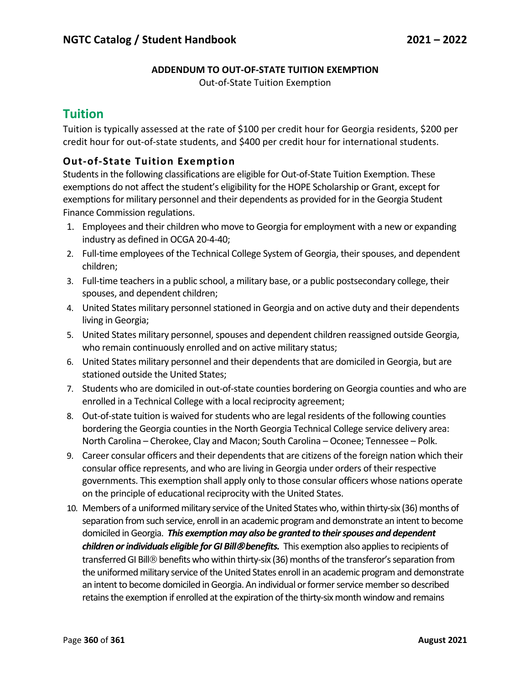## **ADDENDUM TO OUT-OF-STATE TUITION EXEMPTION**

Out-of-State Tuition Exemption

## **Tuition**

Tuition is typically assessed at the rate of \$100 per credit hour for Georgia residents, \$200 per credit hour for out-of-state students, and \$400 per credit hour for international students.

## **Out-of-State Tuition Exemption**

Students in the following classifications are eligible for Out-of-State Tuition Exemption. These exemptions do not affect the student's eligibility for the HOPE Scholarship or Grant, except for exemptions for military personnel and their dependents as provided for in the Georgia Student Finance Commission regulations.

- 1. Employees and their children who move to Georgia for employment with a new or expanding industry as defined in OCGA 20-4-40;
- 2. Full-time employees of the Technical College System of Georgia, their spouses, and dependent children;
- 3. Full-time teachers in a public school, a military base, or a public postsecondary college, their spouses, and dependent children;
- 4. United States military personnel stationed in Georgia and on active duty and their dependents living in Georgia;
- 5. United States military personnel, spouses and dependent children reassigned outside Georgia, who remain continuously enrolled and on active military status;
- 6. United States military personnel and their dependents that are domiciled in Georgia, but are stationed outside the United States;
- 7. Students who are domiciled in out-of-state counties bordering on Georgia counties and who are enrolled in a Technical College with a local reciprocity agreement;
- 8. Out-of-state tuition is waived for students who are legal residents of the following counties bordering the Georgia counties in the North Georgia Technical College service delivery area: North Carolina – Cherokee, Clay and Macon; South Carolina – Oconee; Tennessee – Polk.
- 9. Career consular officers and their dependents that are citizens of the foreign nation which their consular office represents, and who are living in Georgia under orders of their respective governments. This exemption shall apply only to those consular officers whose nations operate on the principle of educational reciprocity with the United States.
- 10. Members of a uniformed military service of the United States who, within thirty-six (36) months of separation from such service, enroll in an academic program and demonstrate an intent to become domiciled in Georgia. *This exemption may also be granted to their spouses and dependent children or individuals eligible for GI Bill*Ò*benefits.* This exemption also applies to recipients of transferred GI Bill<sup>®</sup> benefits who within thirty-six (36) months of the transferor's separation from the uniformed military service of the United States enroll in an academic program and demonstrate an intent to become domiciled in Georgia. An individual or former service member so described retains the exemption if enrolled at the expiration of the thirty-six month window and remains